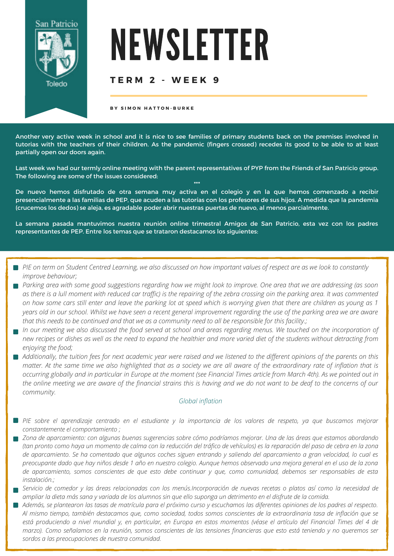

# NEWSLETTER

#### **T E R M 2 - W E E K 9**

**B Y S I M O N H A T T O N - B U R K E**

Another very active week in school and it is nice to see families of primary students back on the premises involved in tutorias with the teachers of their children. As the pandemic (fingers crossed) recedes its good to be able to at least partially open our doors again.

Last week we had our termly online meeting with the parent representatives of PYP from the Friends of San Patricio group. The following are some of the issues considered: \*\*\*

De nuevo hemos disfrutado de otra semana muy activa en el colegio y en la que hemos comenzado a recibir presencialmente a las familias de PEP, que acuden a las tutorías con los profesores de sus hijos. A medida que la pandemia (crucemos los dedos) se aleja, es agradable poder abrir nuestras puertas de nuevo, al menos parcialmente.

La semana pasada mantuvimos nuestra reunión online trimestral Amigos de San Patricio, esta vez con los padres representantes de PEP. Entre los temas que se trataron destacamos los siguientes:

- PIE on term on Student Centred Learning, we also discussed on how important values of respect are as we look to constantly *improve behaviour;*
- Parking area with some good suggestions regarding how we might look to improve. One area that we are addressing (as soon as there is a lull moment with reduced car traffic) is the repairing of the zebra crossing oin the parking area. It was commented on how some cars still enter and leave the parking lot at speed which is worrying given that there are children as young as 1 years old in our school. Whilst we have seen a recent general improvement regarding the use of the parking area we are aware that this needs to be continued and that we as a community need to all be responsible for this facility.;
- In our meeting we also discussed the food served at school and areas regarding menus. We touched on the incorporation of new recipes or dishes as well as the need to expand the healthier and more varied diet of the students without detracting from *enjoying the food;*
- Additionally, the tuition fees for next academic year were raised and we listened to the different opinions of the parents on this matter. At the same time we also highlighted that as a society we are all aware of the extraordinary rate of inflation that is occurring globally and in particular in Europe at the moment (see Financial Times article from March 4th). As we pointed out in the online meeting we are aware of the financial strains this is having and we do not want to be deaf to the concerns of our *community.*

#### *Global [inflation](https://www.ft.com/content/088d3368-bb8b-4ff3-9df7-a7680d4d81b2)*

- PIE sobre el aprendizaje centrado en el estudiante y la importancia de los valores de respeto, ya que buscamos mejorar *constantemente el comportamiento ;*
- Zona de aparcamiento: con algunas buenas sugerencias sobre cómo podríamos mejorar. Una de las áreas que estamos abordando (tan pronto como haya un momento de calma con la reducción del tráfico de vehículos) es la reparación del paso de cebra en la zona de aparcamiento. Se ha comentado que algunos coches siguen entrando y saliendo del aparcamiento a gran velocidad, lo cual es preocupante dado que hay niños desde 1 año en nuestro colegio. Aunque hemos observado una mejora general en el uso de la zona de aparcamiento, somos conscientes de que esto debe continuar y que, como comunidad, debemos ser responsables de esta *instalación.;*
- Servicio de comedor y las áreas relacionadas con los menús.Incorporación de nuevas recetas o platos así como la necesidad de ampliar la dieta más sana y variada de los alumnos sin que ello suponga un detrimento en el disfrute de la comida.
- Además, se plantearon las tasas de matrícula para el próximo curso y escuchamos las diferentes opiniones de los padres al respecto. Al mismo tiempo, también destacamos que, como sociedad, todos somos conscientes de la extraordinaria tasa de inflación que se está produciendo a nivel mundial y, en particular, en Europa en estos momentos (véase el artículo del Financial Times del 4 de marzo). Como señalamos en la reunión, somos conscientes de las tensiones financieras que esto está teniendo y no queremos ser *sordos a las preocupaciones de nuestra comunidad.*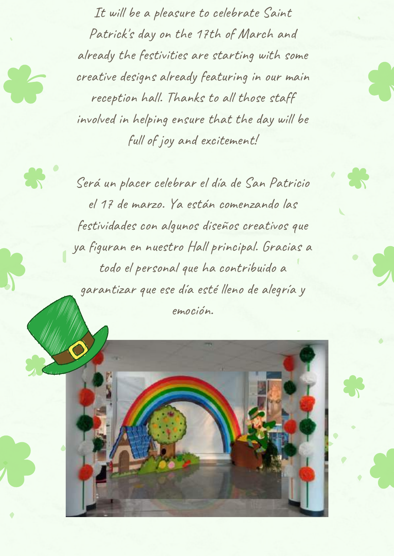It will be a pleasure to celebrate Saint Patrick' s day on the 17th of March and already the festivities are starting with some creative designs already featuring in our main reception hall. Thanks to all those staff involved in helping ensure that the day will be full of joy and excitement!

Será un placer celebrar el día de San Patricio el 17 de marzo. Ya están comenzando las festividades con algunos diseños creativos que ya figuran en nuestro Hall principal. Gracias a todo el personal que ha contribuido a garantizar que ese día esté lleno de alegría y emoción.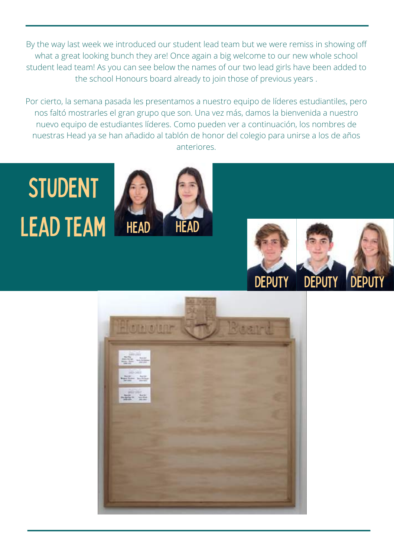By the way last week we introduced our student lead team but we were remiss in showing off what a great looking bunch they are! Once again a big welcome to our new whole school student lead team! As you can see below the names of our two lead girls have been added to the school Honours board already to join those of previous years .

Por cierto, la semana pasada les presentamos a nuestro equipo de líderes estudiantiles, pero nos faltó mostrarles el gran grupo que son. Una vez más, damos la bienvenida a nuestro nuevo equipo de estudiantes líderes. Como pueden ver a continuación, los nombres de nuestras Head ya se han añadido al tablón de honor del colegio para unirse a los de años anteriores.

## student LEAD TEAM HEAD HEAD





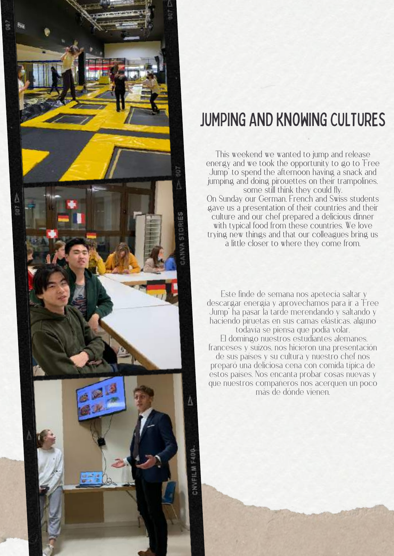

### **JUMPING AND KNOWING CULTURES**

This weekend we wanted to jump and release energy and we took the opportunity to go to Free Jump" to spend the afternoon having a snack and jumping and doing pirouettes on their trampolines. some still think they could fly. On Sunday our German, French and Swiss students gave us a presentation of their countries and their culture and our chef prepared a delicious dinner with typical food from these countries. We love trying new things and that our colleagues bring us a little closer to where they come from.

**Este finde de semana nos apetecía saltar y descargar energía y aprovechamos para ir a "Free Jump" ha pasar la tarde merendando y saltando y haciendo piruetas en sus camas elásticas, alguno todavía se piensa que podía volar. El domingo nuestros estudiantes alemanes, franceses y suizos, nos hicieron una presentación de sus países y su cultura y nuestro chef nos preparó una deliciosa cena con comida típica de estos países. Nos encanta probar cosas nuevas y que nuestros compañeros nos acerquen un poco más de dónde vienen.**